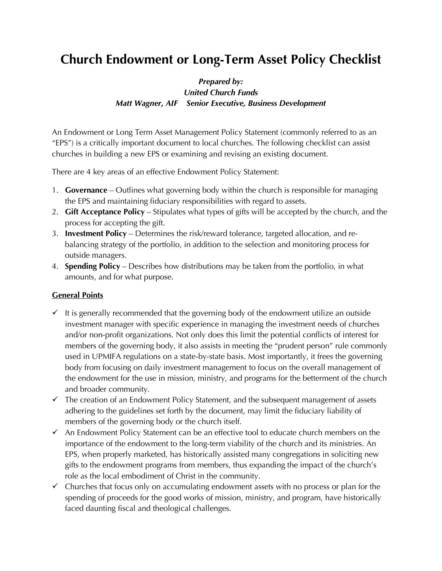# **Church Endowment or Long-Term Asset Policy Checklist**

# *Prepared by: United Church Funds Matt Wagner, AIF Senior Executive, Business Development*

An Endowment or Long Term Asset Management Policy Statement (commonly referred to as an "EPS") is a critically important document to local churches. The following checklist can assist churches in building a new EPS or examining and revising an existing document.

There are 4 key areas of an effective Endowment Policy Statement:

- 1. **Governance** Outlines what governing body within the church is responsible for managing the EPS and maintaining fiduciary responsibilities with regard to assets.
- 2. **Gift Acceptance Policy** Stipulates what types of gifts will be accepted by the church, and the process for accepting the gift.
- 3. **Investment Policy** Determines the risk/reward tolerance, targeted allocation, and rebalancing strategy of the portfolio, in addition to the selection and monitoring process for outside managers.
- 4. **Spending Policy** Describes how distributions may be taken from the portfolio, in what amounts, and for what purpose.

# **General Points**

- $\checkmark$  It is generally recommended that the governing body of the endowment utilize an outside investment manager with specific experience in managing the investment needs of churches and/or non-profit organizations. Not only does this limit the potential conflicts of interest for members of the governing body, it also assists in meeting the "prudent person" rule commonly used in UPMIFA regulations on a state-by-state basis. Most importantly, it frees the governing body from focusing on daily investment management to focus on the overall management of the endowment for the use in mission, ministry, and programs for the betterment of the church and broader community.
- $\checkmark$  The creation of an Endowment Policy Statement, and the subsequent management of assets adhering to the guidelines set forth by the document, may limit the fiduciary liability of members of the governing body or the church itself.
- $\checkmark$  An Endowment Policy Statement can be an effective tool to educate church members on the importance of the endowment to the long-term viability of the church and its ministries. An EPS, when properly marketed, has historically assisted many congregations in soliciting new gifts to the endowment programs from members, thus expanding the impact of the church's role as the local embodiment of Christ in the community.
- $\checkmark$  Churches that focus only on accumulating endowment assets with no process or plan for the spending of proceeds for the good works of mission, ministry, and program, have historically faced daunting fiscal and theological challenges.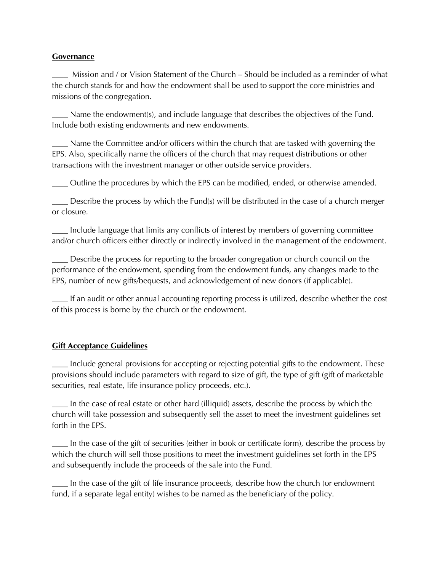#### **Governance**

\_\_\_\_ Mission and / or Vision Statement of the Church – Should be included as a reminder of what the church stands for and how the endowment shall be used to support the core ministries and missions of the congregation.

\_\_\_\_ Name the endowment(s), and include language that describes the objectives of the Fund. Include both existing endowments and new endowments.

\_\_\_\_ Name the Committee and/or officers within the church that are tasked with governing the EPS. Also, specifically name the officers of the church that may request distributions or other transactions with the investment manager or other outside service providers.

\_\_\_\_ Outline the procedures by which the EPS can be modified, ended, or otherwise amended.

\_\_\_\_ Describe the process by which the Fund(s) will be distributed in the case of a church merger or closure.

\_\_\_\_ Include language that limits any conflicts of interest by members of governing committee and/or church officers either directly or indirectly involved in the management of the endowment.

\_\_\_\_ Describe the process for reporting to the broader congregation or church council on the performance of the endowment, spending from the endowment funds, any changes made to the EPS, number of new gifts/bequests, and acknowledgement of new donors (if applicable).

\_\_\_\_ If an audit or other annual accounting reporting process is utilized, describe whether the cost of this process is borne by the church or the endowment.

#### **Gift Acceptance Guidelines**

\_\_\_\_ Include general provisions for accepting or rejecting potential gifts to the endowment. These provisions should include parameters with regard to size of gift, the type of gift (gift of marketable securities, real estate, life insurance policy proceeds, etc.).

\_\_\_\_ In the case of real estate or other hard (illiquid) assets, describe the process by which the church will take possession and subsequently sell the asset to meet the investment guidelines set forth in the EPS.

\_\_\_\_ In the case of the gift of securities (either in book or certificate form), describe the process by which the church will sell those positions to meet the investment guidelines set forth in the EPS and subsequently include the proceeds of the sale into the Fund.

\_\_\_\_ In the case of the gift of life insurance proceeds, describe how the church (or endowment fund, if a separate legal entity) wishes to be named as the beneficiary of the policy.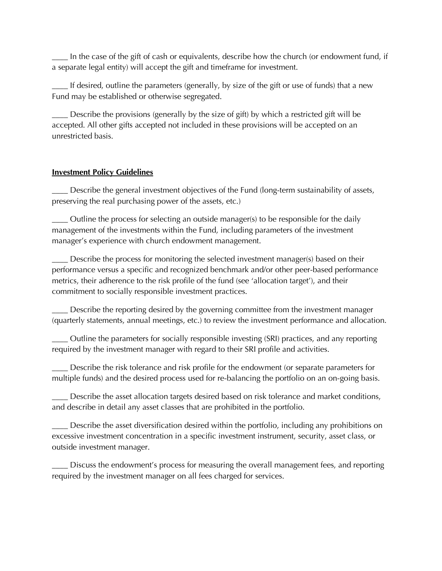In the case of the gift of cash or equivalents, describe how the church (or endowment fund, if a separate legal entity) will accept the gift and timeframe for investment.

\_\_\_\_ If desired, outline the parameters (generally, by size of the gift or use of funds) that a new Fund may be established or otherwise segregated.

Describe the provisions (generally by the size of gift) by which a restricted gift will be accepted. All other gifts accepted not included in these provisions will be accepted on an unrestricted basis.

### **Investment Policy Guidelines**

Describe the general investment objectives of the Fund (long-term sustainability of assets, preserving the real purchasing power of the assets, etc.)

Outline the process for selecting an outside manager(s) to be responsible for the daily management of the investments within the Fund, including parameters of the investment manager's experience with church endowment management.

\_\_\_\_ Describe the process for monitoring the selected investment manager(s) based on their performance versus a specific and recognized benchmark and/or other peer-based performance metrics, their adherence to the risk profile of the fund (see 'allocation target'), and their commitment to socially responsible investment practices.

Describe the reporting desired by the governing committee from the investment manager (quarterly statements, annual meetings, etc.) to review the investment performance and allocation.

\_\_\_\_ Outline the parameters for socially responsible investing (SRI) practices, and any reporting required by the investment manager with regard to their SRI profile and activities.

\_\_\_\_ Describe the risk tolerance and risk profile for the endowment (or separate parameters for multiple funds) and the desired process used for re-balancing the portfolio on an on-going basis.

\_\_\_\_ Describe the asset allocation targets desired based on risk tolerance and market conditions, and describe in detail any asset classes that are prohibited in the portfolio.

Describe the asset diversification desired within the portfolio, including any prohibitions on excessive investment concentration in a specific investment instrument, security, asset class, or outside investment manager.

\_\_\_\_ Discuss the endowment's process for measuring the overall management fees, and reporting required by the investment manager on all fees charged for services.